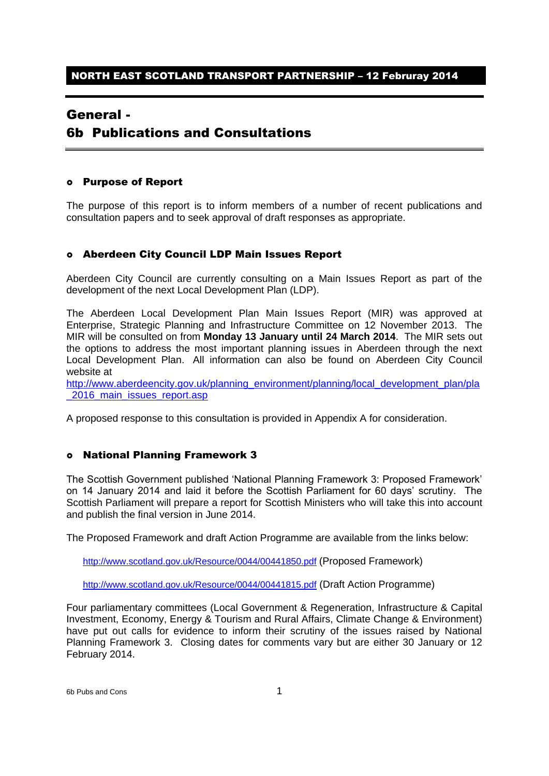# General -

# 6b Publications and Consultations

#### Purpose of Report

The purpose of this report is to inform members of a number of recent publications and consultation papers and to seek approval of draft responses as appropriate.

# Aberdeen City Council LDP Main Issues Report

Aberdeen City Council are currently consulting on a Main Issues Report as part of the development of the next Local Development Plan (LDP).

The Aberdeen Local Development Plan Main Issues Report (MIR) was approved at Enterprise, Strategic Planning and Infrastructure Committee on 12 November 2013. The MIR will be consulted on from **Monday 13 January until 24 March 2014**. The MIR sets out the options to address the most important planning issues in Aberdeen through the next Local Development Plan. All information can also be found on Aberdeen City Council website at

[http://www.aberdeencity.gov.uk/planning\\_environment/planning/local\\_development\\_plan/pla](http://www.aberdeencity.gov.uk/planning_environment/planning/local_development_plan/pla_2016_main_issues_report.asp) 2016 main issues report.asp

A proposed response to this consultation is provided in Appendix A for consideration.

# National Planning Framework 3

The Scottish Government published 'National Planning Framework 3: Proposed Framework' on 14 January 2014 and laid it before the Scottish Parliament for 60 days' scrutiny. The Scottish Parliament will prepare a report for Scottish Ministers who will take this into account and publish the final version in June 2014.

The Proposed Framework and draft Action Programme are available from the links below:

<http://www.scotland.gov.uk/Resource/0044/00441850.pdf> (Proposed Framework)

<http://www.scotland.gov.uk/Resource/0044/00441815.pdf> (Draft Action Programme)

Four parliamentary committees (Local Government & Regeneration, Infrastructure & Capital Investment, Economy, Energy & Tourism and Rural Affairs, Climate Change & Environment) have put out calls for evidence to inform their scrutiny of the issues raised by National Planning Framework 3. Closing dates for comments vary but are either 30 January or 12 February 2014.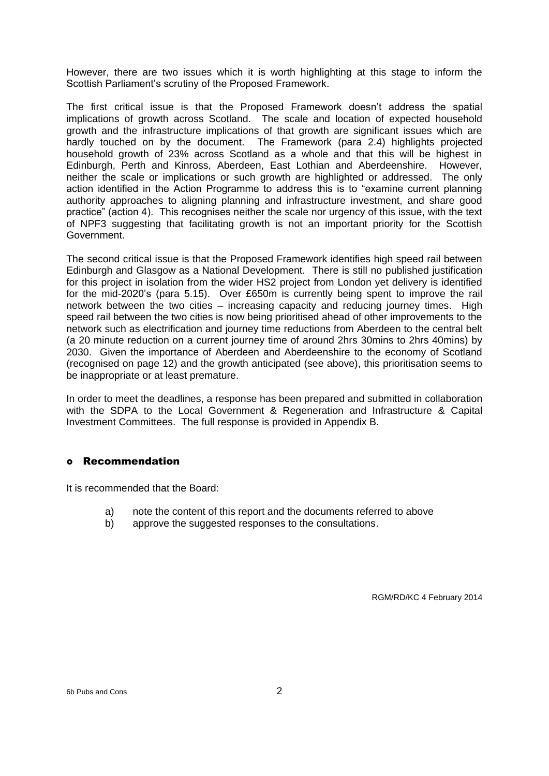However, there are two issues which it is worth highlighting at this stage to inform the Scottish Parliament's scrutiny of the Proposed Framework.

The first critical issue is that the Proposed Framework doesn't address the spatial implications of growth across Scotland. The scale and location of expected household growth and the infrastructure implications of that growth are significant issues which are hardly touched on by the document. The Framework (para 2.4) highlights projected household growth of 23% across Scotland as a whole and that this will be highest in Edinburgh, Perth and Kinross, Aberdeen, East Lothian and Aberdeenshire. However, neither the scale or implications or such growth are highlighted or addressed. The only action identified in the Action Programme to address this is to "examine current planning authority approaches to aligning planning and infrastructure investment, and share good practice" (action 4). This recognises neither the scale nor urgency of this issue, with the text of NPF3 suggesting that facilitating growth is not an important priority for the Scottish Government.

The second critical issue is that the Proposed Framework identifies high speed rail between Edinburgh and Glasgow as a National Development. There is still no published justification for this project in isolation from the wider HS2 project from London yet delivery is identified for the mid-2020's (para 5.15). Over £650m is currently being spent to improve the rail network between the two cities – increasing capacity and reducing journey times. High speed rail between the two cities is now being prioritised ahead of other improvements to the network such as electrification and journey time reductions from Aberdeen to the central belt (a 20 minute reduction on a current journey time of around 2hrs 30mins to 2hrs 40mins) by 2030. Given the importance of Aberdeen and Aberdeenshire to the economy of Scotland (recognised on page 12) and the growth anticipated (see above), this prioritisation seems to be inappropriate or at least premature.

In order to meet the deadlines, a response has been prepared and submitted in collaboration with the SDPA to the Local Government & Regeneration and Infrastructure & Capital Investment Committees. The full response is provided in Appendix B.

#### Recommendation

It is recommended that the Board:

- a) note the content of this report and the documents referred to above
- b) approve the suggested responses to the consultations.

RGM/RD/KC 4 February 2014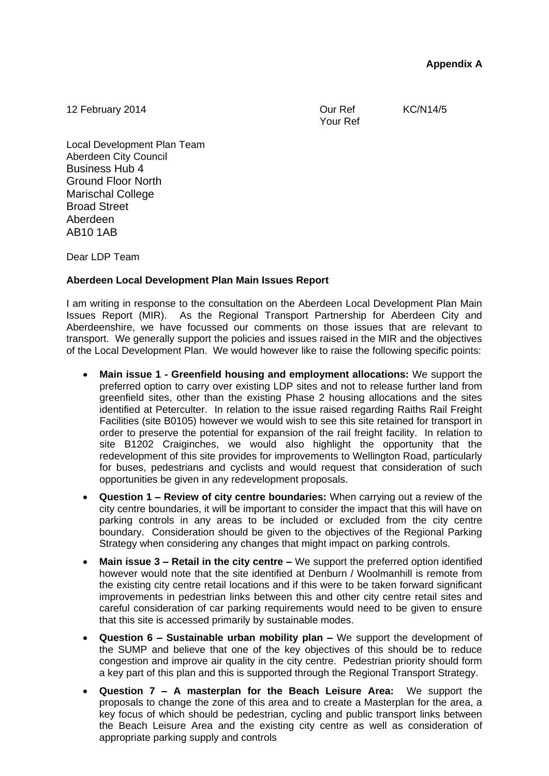12 February 2014 **Contract Contract Contract Contract Contract Contract Contract Contract Contract Contract Contract Contract Contract Contract Contract Contract Contract Contract Contract Contract Contract Contract Contra** 

Your Ref

Local Development Plan Team Aberdeen City Council Business Hub 4 Ground Floor North Marischal College Broad Street Aberdeen AB10 1AB

Dear LDP Team

# **Aberdeen Local Development Plan Main Issues Report**

I am writing in response to the consultation on the Aberdeen Local Development Plan Main Issues Report (MIR). As the Regional Transport Partnership for Aberdeen City and Aberdeenshire, we have focussed our comments on those issues that are relevant to transport. We generally support the policies and issues raised in the MIR and the objectives of the Local Development Plan. We would however like to raise the following specific points:

- **Main issue 1 - Greenfield housing and employment allocations:** We support the preferred option to carry over existing LDP sites and not to release further land from greenfield sites, other than the existing Phase 2 housing allocations and the sites identified at Peterculter. In relation to the issue raised regarding Raiths Rail Freight Facilities (site B0105) however we would wish to see this site retained for transport in order to preserve the potential for expansion of the rail freight facility. In relation to site B1202 Craiginches, we would also highlight the opportunity that the redevelopment of this site provides for improvements to Wellington Road, particularly for buses, pedestrians and cyclists and would request that consideration of such opportunities be given in any redevelopment proposals.
- **Question 1 – Review of city centre boundaries:** When carrying out a review of the city centre boundaries, it will be important to consider the impact that this will have on parking controls in any areas to be included or excluded from the city centre boundary. Consideration should be given to the objectives of the Regional Parking Strategy when considering any changes that might impact on parking controls.
- **Main issue 3 – Retail in the city centre –** We support the preferred option identified however would note that the site identified at Denburn / Woolmanhill is remote from the existing city centre retail locations and if this were to be taken forward significant improvements in pedestrian links between this and other city centre retail sites and careful consideration of car parking requirements would need to be given to ensure that this site is accessed primarily by sustainable modes.
- **Question 6 – Sustainable urban mobility plan –** We support the development of the SUMP and believe that one of the key objectives of this should be to reduce congestion and improve air quality in the city centre. Pedestrian priority should form a key part of this plan and this is supported through the Regional Transport Strategy.
- **Question 7 – A masterplan for the Beach Leisure Area:** We support the proposals to change the zone of this area and to create a Masterplan for the area, a key focus of which should be pedestrian, cycling and public transport links between the Beach Leisure Area and the existing city centre as well as consideration of appropriate parking supply and controls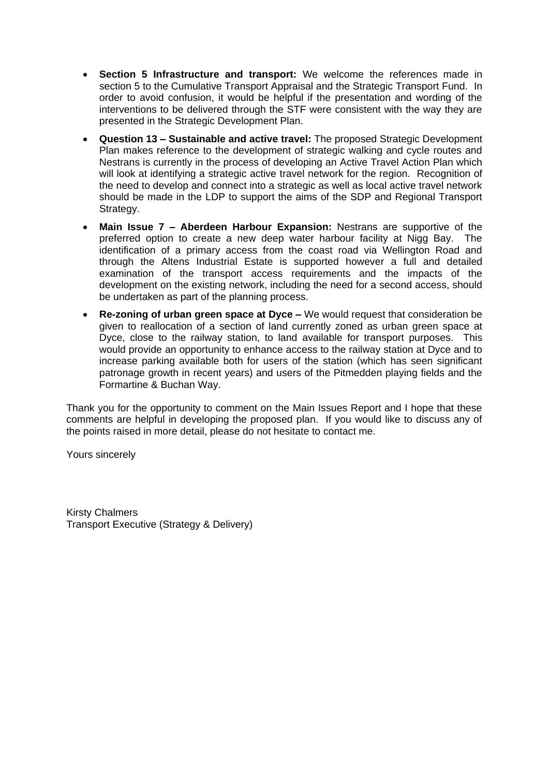- **Section 5 Infrastructure and transport:** We welcome the references made in section 5 to the Cumulative Transport Appraisal and the Strategic Transport Fund. In order to avoid confusion, it would be helpful if the presentation and wording of the interventions to be delivered through the STF were consistent with the way they are presented in the Strategic Development Plan.
- **Question 13 – Sustainable and active travel:** The proposed Strategic Development Plan makes reference to the development of strategic walking and cycle routes and Nestrans is currently in the process of developing an Active Travel Action Plan which will look at identifying a strategic active travel network for the region. Recognition of the need to develop and connect into a strategic as well as local active travel network should be made in the LDP to support the aims of the SDP and Regional Transport Strategy.
- **Main Issue 7 – Aberdeen Harbour Expansion:** Nestrans are supportive of the preferred option to create a new deep water harbour facility at Nigg Bay. The identification of a primary access from the coast road via Wellington Road and through the Altens Industrial Estate is supported however a full and detailed examination of the transport access requirements and the impacts of the development on the existing network, including the need for a second access, should be undertaken as part of the planning process.
- **Re-zoning of urban green space at Dyce –** We would request that consideration be given to reallocation of a section of land currently zoned as urban green space at Dyce, close to the railway station, to land available for transport purposes. This would provide an opportunity to enhance access to the railway station at Dyce and to increase parking available both for users of the station (which has seen significant patronage growth in recent years) and users of the Pitmedden playing fields and the Formartine & Buchan Way.

Thank you for the opportunity to comment on the Main Issues Report and I hope that these comments are helpful in developing the proposed plan. If you would like to discuss any of the points raised in more detail, please do not hesitate to contact me.

Yours sincerely

Kirsty Chalmers Transport Executive (Strategy & Delivery)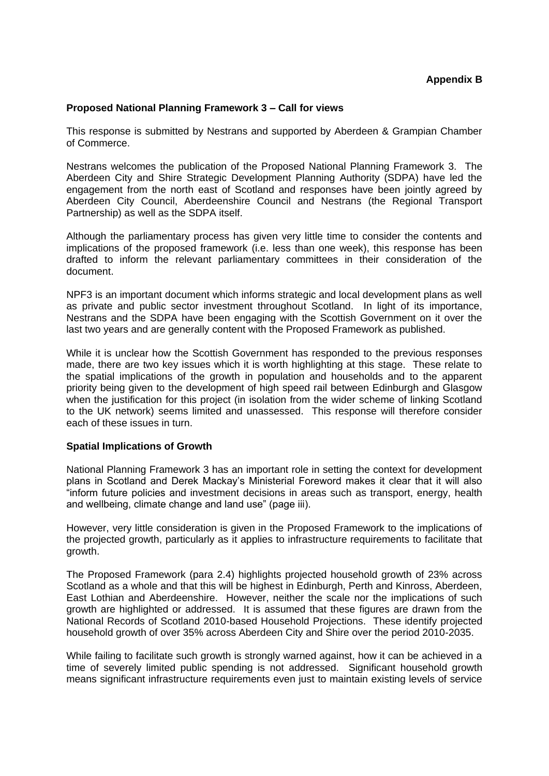# **Proposed National Planning Framework 3 – Call for views**

This response is submitted by Nestrans and supported by Aberdeen & Grampian Chamber of Commerce.

Nestrans welcomes the publication of the Proposed National Planning Framework 3. The Aberdeen City and Shire Strategic Development Planning Authority (SDPA) have led the engagement from the north east of Scotland and responses have been jointly agreed by Aberdeen City Council, Aberdeenshire Council and Nestrans (the Regional Transport Partnership) as well as the SDPA itself.

Although the parliamentary process has given very little time to consider the contents and implications of the proposed framework (i.e. less than one week), this response has been drafted to inform the relevant parliamentary committees in their consideration of the document.

NPF3 is an important document which informs strategic and local development plans as well as private and public sector investment throughout Scotland. In light of its importance, Nestrans and the SDPA have been engaging with the Scottish Government on it over the last two years and are generally content with the Proposed Framework as published.

While it is unclear how the Scottish Government has responded to the previous responses made, there are two key issues which it is worth highlighting at this stage. These relate to the spatial implications of the growth in population and households and to the apparent priority being given to the development of high speed rail between Edinburgh and Glasgow when the justification for this project (in isolation from the wider scheme of linking Scotland to the UK network) seems limited and unassessed. This response will therefore consider each of these issues in turn.

#### **Spatial Implications of Growth**

National Planning Framework 3 has an important role in setting the context for development plans in Scotland and Derek Mackay's Ministerial Foreword makes it clear that it will also "inform future policies and investment decisions in areas such as transport, energy, health and wellbeing, climate change and land use" (page iii).

However, very little consideration is given in the Proposed Framework to the implications of the projected growth, particularly as it applies to infrastructure requirements to facilitate that growth.

The Proposed Framework (para 2.4) highlights projected household growth of 23% across Scotland as a whole and that this will be highest in Edinburgh, Perth and Kinross, Aberdeen, East Lothian and Aberdeenshire. However, neither the scale nor the implications of such growth are highlighted or addressed. It is assumed that these figures are drawn from the National Records of Scotland 2010-based Household Projections. These identify projected household growth of over 35% across Aberdeen City and Shire over the period 2010-2035.

While failing to facilitate such growth is strongly warned against, how it can be achieved in a time of severely limited public spending is not addressed. Significant household growth means significant infrastructure requirements even just to maintain existing levels of service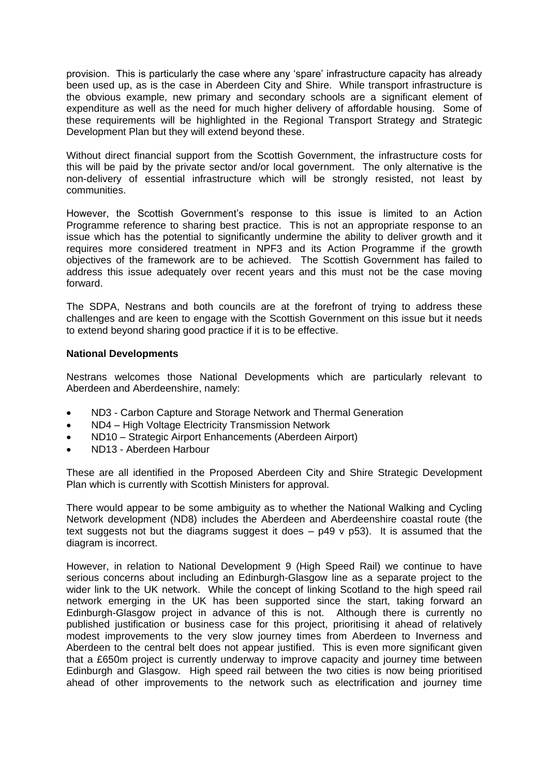provision. This is particularly the case where any 'spare' infrastructure capacity has already been used up, as is the case in Aberdeen City and Shire. While transport infrastructure is the obvious example, new primary and secondary schools are a significant element of expenditure as well as the need for much higher delivery of affordable housing. Some of these requirements will be highlighted in the Regional Transport Strategy and Strategic Development Plan but they will extend beyond these.

Without direct financial support from the Scottish Government, the infrastructure costs for this will be paid by the private sector and/or local government. The only alternative is the non-delivery of essential infrastructure which will be strongly resisted, not least by communities.

However, the Scottish Government's response to this issue is limited to an Action Programme reference to sharing best practice. This is not an appropriate response to an issue which has the potential to significantly undermine the ability to deliver growth and it requires more considered treatment in NPF3 and its Action Programme if the growth objectives of the framework are to be achieved. The Scottish Government has failed to address this issue adequately over recent years and this must not be the case moving forward.

The SDPA, Nestrans and both councils are at the forefront of trying to address these challenges and are keen to engage with the Scottish Government on this issue but it needs to extend beyond sharing good practice if it is to be effective.

# **National Developments**

Nestrans welcomes those National Developments which are particularly relevant to Aberdeen and Aberdeenshire, namely:

- ND3 Carbon Capture and Storage Network and Thermal Generation
- ND4 High Voltage Electricity Transmission Network
- ND10 Strategic Airport Enhancements (Aberdeen Airport)
- ND13 Aberdeen Harbour

These are all identified in the Proposed Aberdeen City and Shire Strategic Development Plan which is currently with Scottish Ministers for approval.

There would appear to be some ambiguity as to whether the National Walking and Cycling Network development (ND8) includes the Aberdeen and Aberdeenshire coastal route (the text suggests not but the diagrams suggest it does  $-$  p49  $\vee$  p53). It is assumed that the diagram is incorrect.

However, in relation to National Development 9 (High Speed Rail) we continue to have serious concerns about including an Edinburgh-Glasgow line as a separate project to the wider link to the UK network. While the concept of linking Scotland to the high speed rail network emerging in the UK has been supported since the start, taking forward an Edinburgh-Glasgow project in advance of this is not. Although there is currently no published justification or business case for this project, prioritising it ahead of relatively modest improvements to the very slow journey times from Aberdeen to Inverness and Aberdeen to the central belt does not appear justified. This is even more significant given that a £650m project is currently underway to improve capacity and journey time between Edinburgh and Glasgow. High speed rail between the two cities is now being prioritised ahead of other improvements to the network such as electrification and journey time